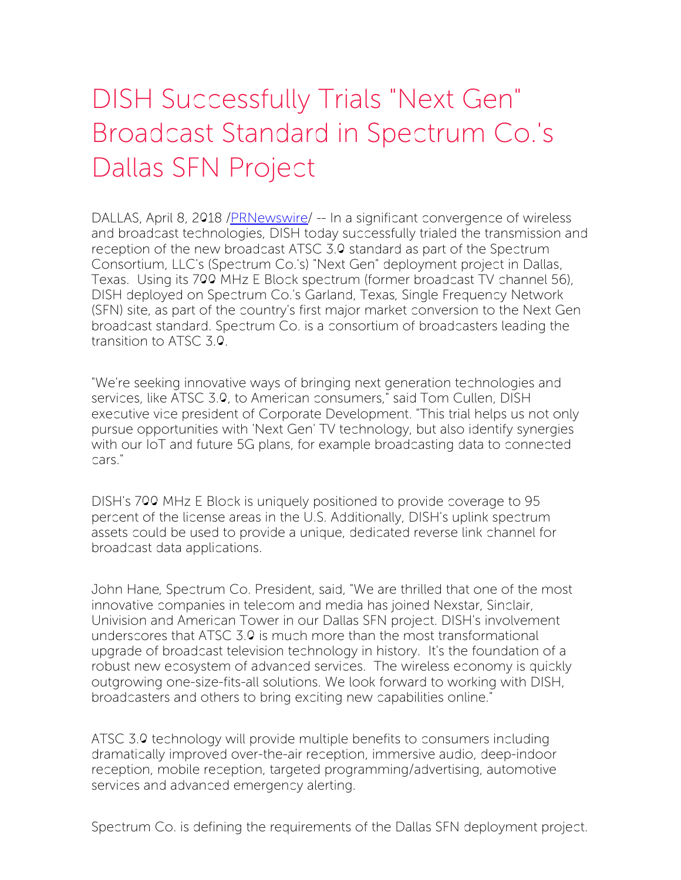## DISH Successfully Trials "Next Gen" Broadcast Standard in Spectrum Co.'s Dallas SFN Project

DALLAS, April 8, 2018 /*PRNewswire*/ -- In a significant convergence of wireless and broadcast technologies, DISH today successfully trialed the transmission and reception of the new broadcast ATSC 3.0 standard as part of the Spectrum Consortium, LLC's (Spectrum Co.'s) "Next Gen" deployment project in Dallas, Texas. Using its 700 MHz E Block spectrum (former broadcast TV channel 56), DISH deployed on Spectrum Co.'s Garland, Texas, Single Frequency Network (SFN) site, as part of the country's first major market conversion to the Next Gen broadcast standard. Spectrum Co. is a consortium of broadcasters leading the transition to ATSC 3.0.

"We're seeking innovative ways of bringing next generation technologies and services, like ATSC 3.0, to American consumers," said Tom Cullen, DISH executive vice president of Corporate Development. "This trial helps us not only pursue opportunities with 'Next Gen' TV technology, but also identify synergies with our IoT and future 5G plans, for example broadcasting data to connected cars."

DISH's 700 MHz E Block is uniquely positioned to provide coverage to 95 percent of the license areas in the U.S. Additionally, DISH's uplink spectrum assets could be used to provide a unique, dedicated reverse link channel for broadcast data applications.

John Hane, Spectrum Co. President, said, "We are thrilled that one of the most innovative companies in telecom and media has joined Nexstar, Sinclair, Univision and American Tower in our Dallas SFN project. DISH's involvement underscores that ATSC 3.0 is much more than the most transformational upgrade of broadcast television technology in history. It's the foundation of a robust new ecosystem of advanced services. The wireless economy is quickly outgrowing one-size-fits-all solutions. We look forward to working with DISH, broadcasters and others to bring exciting new capabilities online."

ATSC 3.0 technology will provide multiple benefits to consumers including dramatically improved over-the-air reception, immersive audio, deep-indoor reception, mobile reception, targeted programming/advertising, automotive services and advanced emergency alerting.

Spectrum Co. is defining the requirements of the Dallas SFN deployment project.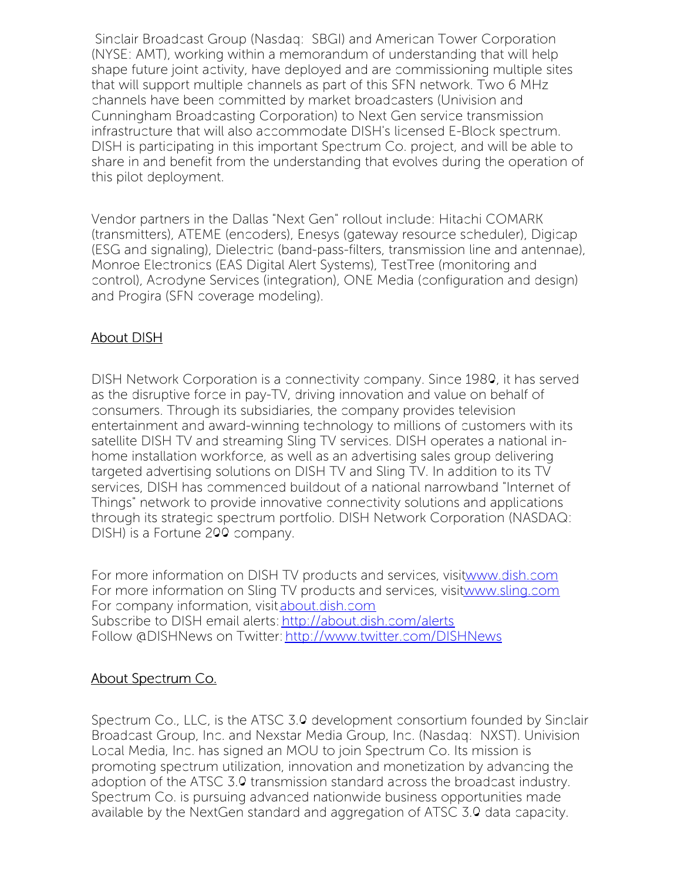Sinclair Broadcast Group (Nasdaq: SBGI) and American Tower Corporation (NYSE: AMT), working within a memorandum of understanding that will help shape future joint activity, have deployed and are commissioning multiple sites that will support multiple channels as part of this SFN network. Two 6 MHz channels have been committed by market broadcasters (Univision and Cunningham Broadcasting Corporation) to Next Gen service transmission infrastructure that will also accommodate DISH's licensed E-Block spectrum. DISH is participating in this important Spectrum Co. project, and will be able to share in and benefit from the understanding that evolves during the operation of this pilot deployment.

Vendor partners in the Dallas "Next Gen" rollout include: Hitachi COMARK (transmitters), ATEME (encoders), Enesys (gateway resource scheduler), Digicap (ESG and signaling), Dielectric (band-pass-filters, transmission line and antennae), Monroe Electronics (EAS Digital Alert Systems), TestTree (monitoring and control), Acrodyne Services (integration), ONE Media (configuration and design) and Progira (SFN coverage modeling).

## About DISH

DISH Network Corporation is a connectivity company. Since 1980, it has served as the disruptive force in pay-TV, driving innovation and value on behalf of consumers. Through its subsidiaries, the company provides television entertainment and award-winning technology to millions of customers with its satellite DISH TV and streaming Sling TV services. DISH operates a national inhome installation workforce, as well as an advertising sales group delivering targeted advertising solutions on DISH TV and Sling TV. In addition to its TV services, DISH has commenced buildout of a national narrowband "Internet of Things" network to provide innovative connectivity solutions and applications through its strategic spectrum portfolio. DISH Network Corporation (NASDAQ: DISH) is a Fortune 200 company.

For more information on DISH TV products and services, visi[twww.dish.com](http://www.dish.com/) For more information on Sling TV products and services, visi[twww.sling.com](http://www.sling.com/) For company information, visit [about.dish.com](http://about.dish.com/) Subscribe to DISH email alerts: <http://about.dish.com/alerts> Follow @DISHNews on Twitter: <http://www.twitter.com/DISHNews>

## About Spectrum Co.

Spectrum Co., LLC, is the ATSC 3.0 development consortium founded by Sinclair Broadcast Group, Inc. and Nexstar Media Group, Inc. (Nasdaq: NXST). Univision Local Media, Inc. has signed an MOU to join Spectrum Co. Its mission is promoting spectrum utilization, innovation and monetization by advancing the adoption of the ATSC 3.0 transmission standard across the broadcast industry. Spectrum Co. is pursuing advanced nationwide business opportunities made available by the NextGen standard and aggregation of ATSC 3.0 data capacity.